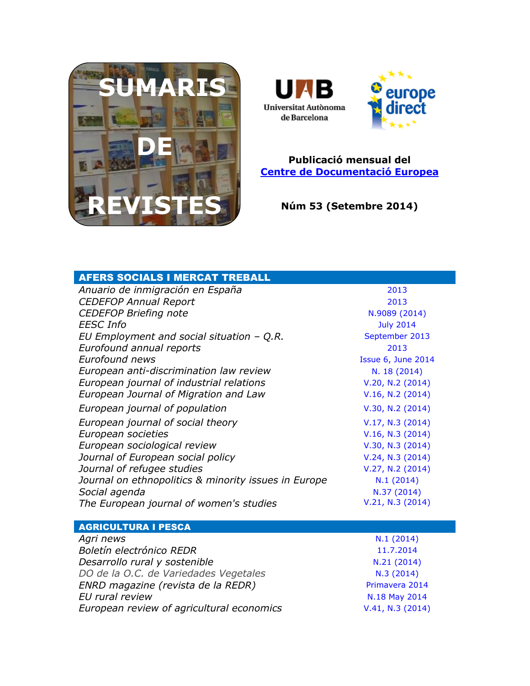



### **Publicació mensual del [Centre de Documentació Europea](http://www.uab.cat/biblioteques/cde/)**

**Núm 53 (Setembre 2014)**

| <b>AFERS SOCIALS I MERCAT TREBALL</b>                |                    |
|------------------------------------------------------|--------------------|
| Anuario de inmigración en España                     | 2013               |
| <b>CEDEFOP Annual Report</b>                         | 2013               |
| <b>CEDEFOP Briefing note</b>                         | N.9089 (2014)      |
| <b>EESC</b> Info                                     | <b>July 2014</b>   |
| EU Employment and social situation $-Q.R.$           | September 2013     |
| Eurofound annual reports                             | 2013               |
| <b>Eurofound news</b>                                | Issue 6, June 2014 |
| European anti-discrimination law review              | N. 18 (2014)       |
| European journal of industrial relations             | V.20, N.2 (2014)   |
| European Journal of Migration and Law                | V.16, N.2 (2014)   |
| European journal of population                       | V.30, N.2 (2014)   |
| European journal of social theory                    | V.17, N.3 (2014)   |
| European societies                                   | V.16, N.3 (2014)   |
| European sociological review                         | V.30, N.3 (2014)   |
| Journal of European social policy                    | V.24, N.3 (2014)   |
| Journal of refugee studies                           | V.27, N.2 (2014)   |
| Journal on ethnopolitics & minority issues in Europe | N.1(2014)          |
| Social agenda                                        | N.37 (2014)        |
| The European journal of women's studies              | V.21, N.3 (2014)   |
| <b>AGRICULTURA I PESCA</b>                           |                    |
| Agri news                                            | N.1(2014)          |
| Boletín electrónico REDR                             | 11.7.2014          |
| Desarrollo rural y sostenible                        | N.21 (2014)        |
| DO de la O.C. de Variedades Vegetales                | N.3(2014)          |
| ENRD magazine (revista de la REDR)                   | Primavera 2014     |
| EU rural review                                      | N.18 May 2014      |
| European review of agricultural economics            | V.41, N.3 (2014)   |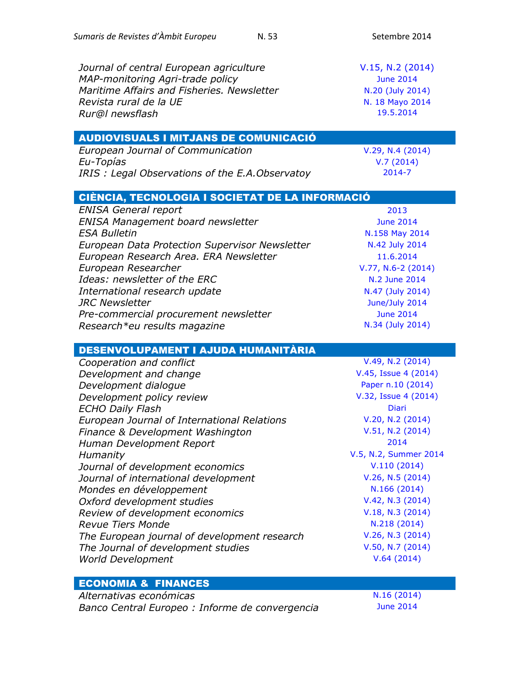| Sumaris de Revistes d'Àmbit Europeu<br>N.53     | Setembre 2014         |
|-------------------------------------------------|-----------------------|
|                                                 |                       |
| Journal of central European agriculture         | V.15, N.2 (2014)      |
|                                                 |                       |
| MAP-monitoring Agri-trade policy                | <b>June 2014</b>      |
| Maritime Affairs and Fisheries. Newsletter      | N.20 (July 2014)      |
| Revista rural de la UE                          | N. 18 Mayo 2014       |
| Rur@I newsflash                                 | 19.5.2014             |
| <b>AUDIOVISUALS I MITJANS DE COMUNICACIÓ</b>    |                       |
| European Journal of Communication               | V.29, N.4(2014)       |
| Eu-Topías                                       | V.7(2014)             |
| IRIS: Legal Observations of the E.A. Observatoy | 2014-7                |
|                                                 |                       |
| CIÈNCIA, TECNOLOGIA I SOCIETAT DE LA INFORMACIÓ |                       |
| <b>ENISA General report</b>                     | 2013                  |
| <b>ENISA Management board newsletter</b>        | <b>June 2014</b>      |
| <b>ESA Bulletin</b>                             | N.158 May 2014        |
| European Data Protection Supervisor Newsletter  | N.42 July 2014        |
| European Research Area. ERA Newsletter          | 11.6.2014             |
| European Researcher                             | $V.77, N.6-2$ (2014)  |
| Ideas: newsletter of the ERC                    | N.2 June 2014         |
| International research update                   | N.47 (July 2014)      |
| <b>JRC Newsletter</b>                           | June/July 2014        |
| Pre-commercial procurement newsletter           | <b>June 2014</b>      |
| Research*eu results magazine                    | N.34 (July 2014)      |
|                                                 |                       |
| DESENVOLUPAMENT I AJUDA HUMANITÀRIA             |                       |
| Cooperation and conflict                        | V.49, N.2 (2014)      |
| Development and change                          | V.45, Issue 4 (2014)  |
| Development dialogue                            | Paper n.10 (2014)     |
| Development policy review                       | V.32, Issue 4 (2014)  |
| <b>ECHO Daily Flash</b>                         | <b>Diari</b>          |
| European Journal of International Relations     | V.20, N.2 (2014)      |
| Finance & Development Washington                | V.51, N.2 (2014)      |
| Human Development Report                        | 2014                  |
| Humanity                                        | V.5, N.2, Summer 2014 |
| Journal of development economics                | V.110(2014)           |
| Journal of international development            | V.26, N.5 (2014)      |
| Mondes en développement                         | N.166 (2014)          |
| Oxford development studies                      | V.42, N.3 (2014)      |
| Review of development economics                 | V.18, N.3 (2014)      |
| <b>Revue Tiers Monde</b>                        | N.218 (2014)          |
|                                                 | V.26, N.3 (2014)      |
| The European journal of development research    | V.50, N.7(2014)       |
| The Journal of development studies              | V.64(2014)            |
| <b>World Development</b>                        |                       |
| <b>ECONOMIA &amp; FINANCES</b>                  |                       |
| Altornativas aconómicas                         | $N$ 16 (2014)         |

*Alternativas económicas*<br>Banco Central Europeo : Informe de convergencia June 2014 **Banco Central Europeo : Informe de convergencia**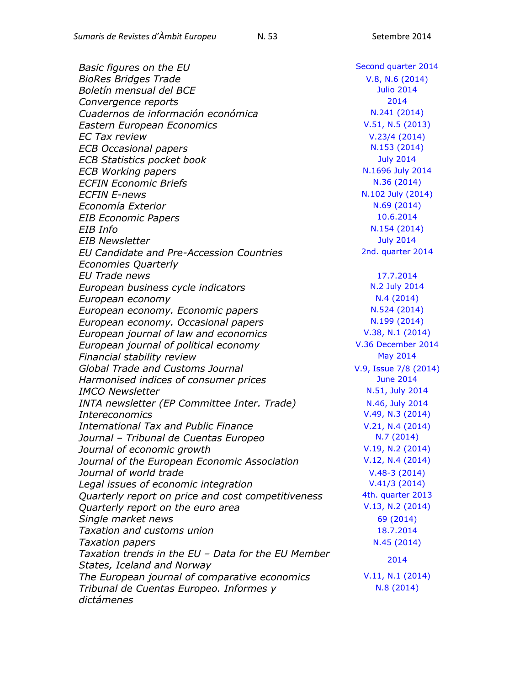*Basic figures on the EU* and *Second [quarter 2014](http://epp.eurostat.ec.europa.eu/portal/page/portal/product_details/publication?p_product_code=KS-GL-14-002) BioRes Bridges Trade* **[V.8, N.6](http://www.ictsd.org/bridges-news/biores/issue-archive/plenty-more-fish-in-the-sea) (2014)** *Boletín mensual del BCE* [Julio 2014](http://www.bde.es/bde/es/secciones/informes/Publicaciones_de/Boletin_Mensual_/) *Convergence reports* [2014](http://ec.europa.eu/economy_finance/publications/european_economy/2014/ee4_en.htm) **Cuadernos de información económica**  $N.241 (2014)$  $N.241 (2014)$ *Eastern European Economics* **[V.51, N.5](http://www.scopus.com/source/sourceInfo.url?sourceId=19458) (2013)** *EC Tax review* V.23/4 [\(2014\)](http://www.kluwerlawonline.com/toc.php?area=Journals&mode=bypub&level=5&values=Journals~~EC+Tax+Review~Volume+23+%282014%29) *ECB Occasional papers* N.153 [\(2014\)](http://www.ecb.europa.eu/pub/research/occasional-papers/html/index.en.html) *ECB Statistics pocket book* **[July 2014](http://www.ecb.europa.eu/pub/spb/html/index.en.html)** *ECB Working papers* **N.1696 [July 2014](http://www.ecb.europa.eu/pub/pdf/scpwps/ecbwp1696.pdf)** *ECFIN Economic Briefs* N.36 [\(2014\)](http://ec.europa.eu/economy_finance/publications/economic_briefs/2014/eb36_en.htm) *ECFIN E-news* **N.102 [July \(2014\)](http://ec.europa.eu/economy_finance/enewsletter/102_140710/)** *Economía Exterior* **N.69 [\(2014\)](http://www.politicaexterior.com/economia-exterior/)** N.69 (2014) *EIB Economic Papers* [10.6.2014](http://www.eib.org/infocentre/publications/all/cesee-bls-2014-h1.htm) *EIB Info* **N.154 [\(2014\)](http://www.eib.org/infocentre/publications/all/eib-information-2-2014-n154.htm)** *EIB Newsletter* [July 2014](http://www.eib.org/infocentre/newsletters/2014-july.htm) *EU Candidate and Pre-Accession Countries Economies Quarterly EU Trade news* [17.7.2014](http://trade.ec.europa.eu/eutn/psendmessage.htm?tranid=9969) *European business cycle indicators* **N.2 [July 2014](http://ec.europa.eu/economy_finance/publications/cycle_indicators/2014/02_en.htm) European economy N.4 [\(2014\)](http://ec.europa.eu/economy_finance/publications/european_economy/2014/ee4_en.htm)** *European economy. Economic papers*  $N.524 (2014)$  $N.524 (2014)$ *European economy. Occasional papers*  $N.199 (2014)$  $N.199 (2014)$ *European journal of law and economics* [V.38, N.1](http://link.springer.com/journal/10657/38/1/page/1) (2014) *European journal of political economy* **V.36 [December 2014](http://www.sciencedirect.com/science/journal/01762680)** *Financial stability review* [May 2014](http://www.ecb.europa.eu/pub/fsr/html/index.en.html) *Global Trade and Customs Journal* [V.9, Issue 7/8](http://www.kluwerlawonline.com/toc.php?area=Journals&mode=bypub&level=5&values=Journals~~Global+Trade+and+Customs+Journal~Volume+9+%282014%29) (2014) *Harmonised indices of consumer prices* **[June 2014](http://epp.eurostat.ec.europa.eu/portal/page/portal/product_details/publication?p_product_code=KS-QA-14-009)** *IMCO Newsletter* **[N.51, July 2014](http://www.europarl.europa.eu/document/activities/cont/201407/20140723ATT87246/20140723ATT87246EN.pdf)** *INTA newsletter (EP Committee Inter. Trade)* [N.46, July 2014](http://www.europarl.europa.eu/document/activities/cont/201407/20140717ATT87159/20140717ATT87159EN.pdf) *Intereconomics* [V.49, N.3](http://link.springer.com/journal/10272/49/3/page/1) (2014) *International Tax and Public Finance*  $V.21, N.4$  (2014) *Journal – Tribunal de Cuentas Europeo* N.7 [\(2014\)](http://www.eca.europa.eu/Lists/ECADocuments/JOURNAL14_0708/QJ-AD-14-007-2A-N.pdf) *Journal of economic growth*  $V.19, N.2$  (2014) *Journal of the European Economic Association* **[V.12, N.4](http://onlinelibrary.wiley.com/doi/10.1111/jeea.2014.12.issue-4/issuetoc) (2014)** *Journal of world trade* **V.48-3** [\(2014\)](http://www.kluwerlawonline.com/toc.php?area=Journals&mode=bypub&level=5&values=Journals~~Journal+of+World+Trade~Volume+48+%282014%29) *Legal issues of economic integration* V.41/3 [\(2014\)](http://www.kluwerlawonline.com/toc.php?area=Journals&mode=bypub&level=5&values=Journals~~Legal+Issues+of+Economic+Integration~Volume+41+%282014%29) *Quarterly report on price and cost competitiveness* 4th. [quarter 2013](http://ec.europa.eu/economy_finance/publications/pcqr/2013/pccr_2013_4_en.htm) *Quarterly report on the euro area* [V.13, N.2](http://ec.europa.eu/economy_finance/publications/qr_euro_area/2014/qrea2_en.htm) (2014) *Single market news* 69 [\(2014\)](http://ec.europa.eu/internal_market/smn/index_en.htm) *Taxation and customs union* [18.7.2014](http://ec.europa.eu/taxation_customs/newsflashes/newsflash_20140718.htm) **Taxation papers N.45 [\(2014\)](http://ec.europa.eu/taxation_customs/resources/documents/taxation/gen_info/economic_analysis/tax_papers/taxation_paper_45.pdf)** *Taxation trends in the EU – Data for the EU Member States, Iceland and Norway The European journal of comparative economics* [V.11, N.1](http://eaces.liuc.it/) (2014) *Tribunal de Cuentas Europeo. Informes y dictámenes* 

2nd. [quarter 2014](http://ec.europa.eu/economy_finance/db_indicators/cpaceq/documents/cceq_2014_q2_en.pdf) [2014](http://epp.eurostat.ec.europa.eu/portal/page/portal/product_details/publication?p_product_code=KS-DU-14-001) N.8 [\(2014\)](http://www.eca.europa.eu/Lists/ECADocuments/SR14_08/SR14_08_ES.pdf)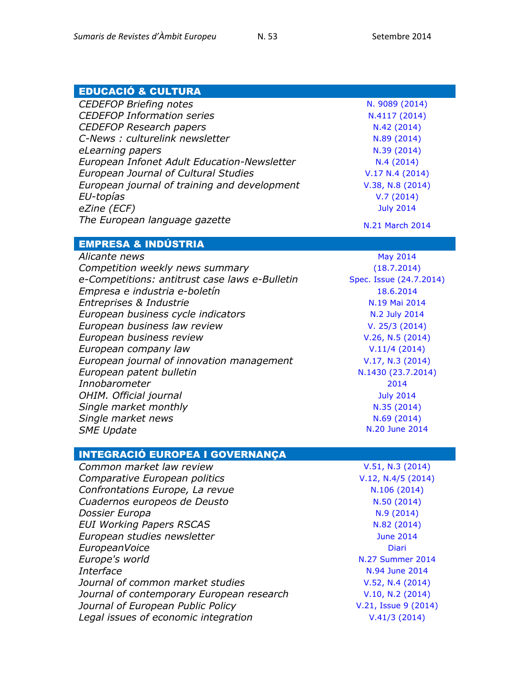| <b>EDUCACIÓ &amp; CULTURA</b>                  |                         |
|------------------------------------------------|-------------------------|
| <b>CEDEFOP Briefing notes</b>                  | N. 9089 (2014)          |
| <b>CEDEFOP Information series</b>              | N.4117 (2014)           |
| <b>CEDEFOP Research papers</b>                 | N.42 (2014)             |
| C-News: culturelink newsletter                 | N.89 (2014)             |
| eLearning papers                               | N.39 (2014)             |
| European Infonet Adult Education-Newsletter    | N.4(2014)               |
| <b>European Journal of Cultural Studies</b>    | V.17 N.4 (2014)         |
| European journal of training and development   | V.38, N.8 (2014)        |
| EU-topías                                      | V.7(2014)               |
| eZine (ECF)                                    | <b>July 2014</b>        |
|                                                |                         |
| The European language gazette                  | N.21 March 2014         |
| <b>EMPRESA &amp; INDÚSTRIA</b>                 |                         |
|                                                |                         |
| Alicante news                                  | <b>May 2014</b>         |
| Competition weekly news summary                | (18.7.2014)             |
| e-Competitions: antitrust case laws e-Bulletin | Spec. Issue (24.7.2014) |
| Empresa e industria e-boletín                  | 18.6.2014               |
| Entreprises & Industrie                        | N.19 Mai 2014           |
| European business cycle indicators             | N.2 July 2014           |
| European business law review                   | V. 25/3 (2014)          |
| European business review                       | V.26, N.5 (2014)        |
| European company law                           | V.11/4(2014)            |
| European journal of innovation management      | V.17, N.3 (2014)        |
| European patent bulletin                       | N.1430 (23.7.2014)      |
| Innobarometer                                  | 2014                    |
| OHIM. Official journal                         | <b>July 2014</b>        |
| Single market monthly                          | N.35 (2014)             |
| Single market news                             | N.69 (2014)             |
| <b>SME Update</b>                              | N.20 June 2014          |
|                                                |                         |
| <b>INTEGRACIÓ EUROPEA I GOVERNANÇA</b>         |                         |
| Common market law review                       | V.51, N.3 (2014)        |
|                                                |                         |
| Comparative European politics                  | $V.12, N.4/5$ (2014)    |
| Confrontations Europe, La revue                | N.106 (2014)            |
| Cuadernos europeos de Deusto                   | N.50 (2014)             |
| Dossier Europa                                 | N.9(2014)               |
| <b>EUI Working Papers RSCAS</b>                | N.82 (2014)             |
| European studies newsletter                    | <b>June 2014</b>        |
| EuropeanVoice                                  | <b>Diari</b>            |
| Europe's world                                 | <b>N.27 Summer 2014</b> |
| Interface                                      | N.94 June 2014          |
| Journal of common market studies               | V.52, N.4(2014)         |
| Journal of contemporary European research      | V.10, N.2 (2014)        |
| Journal of European Public Policy              | V.21, Issue 9 (2014)    |

*Legal issues of economic integration* V.41/3 [\(2014\)](http://www.kluwerlawonline.com/toc.php?area=Journals&mode=bypub&level=5&values=Journals~~Legal+Issues+of+Economic+Integration~Volume+41+%282014%29)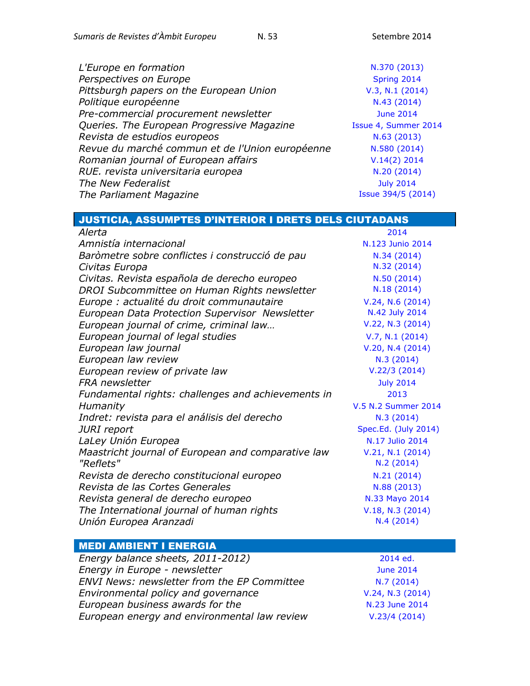| L'Europe en formation                           | N.370 (2013)         |
|-------------------------------------------------|----------------------|
| Perspectives on Europe                          | Spring 2014          |
| Pittsburgh papers on the European Union         | V.3, N.1 (2014)      |
| Politique européenne                            | N.43 (2014)          |
| Pre-commercial procurement newsletter           | <b>June 2014</b>     |
| Queries. The European Progressive Magazine      | Issue 4, Summer 2014 |
| Revista de estudios europeos                    | N.63 (2013)          |
| Revue du marché commun et de l'Union européenne | N.580 (2014)         |
| Romanian journal of European affairs            | $V.14(2)$ 2014       |
| RUE. revista universitaria europea              | N.20 (2014)          |
| The New Federalist                              | <b>July 2014</b>     |
| The Parliament Magazine                         | Issue 394/5 (2014)   |

| JUSTICIA, ASSUMPTES D'INTERIOR I DRETS DELS CIUTADANS |                      |
|-------------------------------------------------------|----------------------|
| Alerta                                                | 2014                 |
| Amnistía internacional                                | N.123 Junio 2014     |
| Baròmetre sobre conflictes i construcció de pau       | N.34 (2014)          |
| Civitas Europa                                        | N.32 (2014)          |
| Civitas. Revista española de derecho europeo          | N.50 (2014)          |
| DROI Subcommittee on Human Rights newsletter          | N.18(2014)           |
| Europe : actualité du droit communautaire             | V.24, N.6(2014)      |
| European Data Protection Supervisor Newsletter        | N.42 July 2014       |
| European journal of crime, criminal law               | V.22, N.3 (2014)     |
| European journal of legal studies                     | V.7, N.1 (2014)      |
| European law journal                                  | V.20, N.4(2014)      |
| European law review                                   | N.3 (2014)           |
| European review of private law                        | V.22/3(2014)         |
| <b>FRA</b> newsletter                                 | <b>July 2014</b>     |
| Fundamental rights: challenges and achievements in    | 2013                 |
| Humanity                                              | V.5 N.2 Summer 2014  |
| Indret: revista para el análisis del derecho          | N.3 (2014)           |
| <b>JURI</b> report                                    | Spec.Ed. (July 2014) |
| LaLey Unión Europea                                   | N.17 Julio 2014      |
| Maastricht journal of European and comparative law    | V.21, N.1 (2014)     |
| "Reflets"                                             | N.2(2014)            |
| Revista de derecho constitucional europeo             | N.21(2014)           |
| Revista de las Cortes Generales                       | N.88 (2013)          |
| Revista general de derecho europeo                    | N.33 Mayo 2014       |
| The International journal of human rights             | V.18, N.3 (2014)     |
| Unión Europea Aranzadi                                | N.4(2014)            |

# MEDI AMBIENT I ENERGIA

| 2014 ed.         |
|------------------|
| <b>June 2014</b> |
| N.7(2014)        |
| V.24, N.3 (2014) |
| N.23 June 2014   |
| V.23/4(2014)     |
|                  |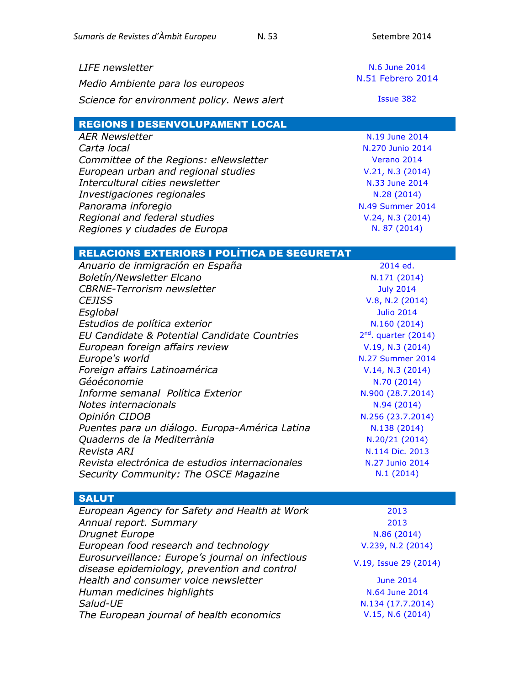| <b>LIFE</b> newsletter                     | N.6 June 2014     |
|--------------------------------------------|-------------------|
| Medio Ambiente para los europeos           | N.51 Febrero 2014 |
| Science for environment policy. News alert | Issue 382         |
| <b>REGIONS I DESENVOLUPAMENT LOCAL</b>     |                   |
| <b>AER Newsletter</b>                      | N.19 June 2014    |

| Committee of the Regions: eNewsletter<br>European urban and regional studies | N.270 Junio 2014        |
|------------------------------------------------------------------------------|-------------------------|
|                                                                              | Verano 2014             |
|                                                                              | V.21, N.3 (2014)        |
| Intercultural cities newsletter                                              | N.33 June 2014          |
| Investigaciones regionales                                                   | N.28 (2014)             |
| Panorama inforegio                                                           | <b>N.49 Summer 2014</b> |
| Regional and federal studies                                                 | V.24, N.3 (2014)        |
| Regiones y ciudades de Europa                                                | N. 87 (2014)            |

| 2014 ed.                |
|-------------------------|
| N.171 (2014)            |
| <b>July 2014</b>        |
| V.8, N.2 (2014)         |
| <b>Julio 2014</b>       |
| N.160(2014)             |
| $2nd$ . quarter (2014)  |
| V.19, N.3 (2014)        |
| <b>N.27 Summer 2014</b> |
| V.14, N.3 (2014)        |
| N.70 (2014)             |
| N.900 (28.7.2014)       |
| N.94 (2014)             |
| N.256 (23.7.2014)       |
| N.138 (2014)            |
| N.20/21 (2014)          |
| N.114 Dic. 2013         |
| N.27 Junio 2014         |
| N.1(2014)               |
|                         |

## SALUT

| European Agency for Safety and Health at Work                                                    | 2013                  |
|--------------------------------------------------------------------------------------------------|-----------------------|
| Annual report. Summary                                                                           | 2013                  |
| Drugnet Europe                                                                                   | N.86 (2014)           |
| European food research and technology                                                            | V.239, N.2 (2014)     |
| Eurosurveillance: Europe's journal on infectious<br>disease epidemiology, prevention and control | V.19, Issue 29 (2014) |
| Health and consumer voice newsletter                                                             | <b>June 2014</b>      |
| Human medicines highlights                                                                       | N.64 June 2014        |
| Salud-UE                                                                                         | N.134 (17.7.2014)     |
| The European journal of health economics                                                         | V.15, N.6(2014)       |
|                                                                                                  |                       |